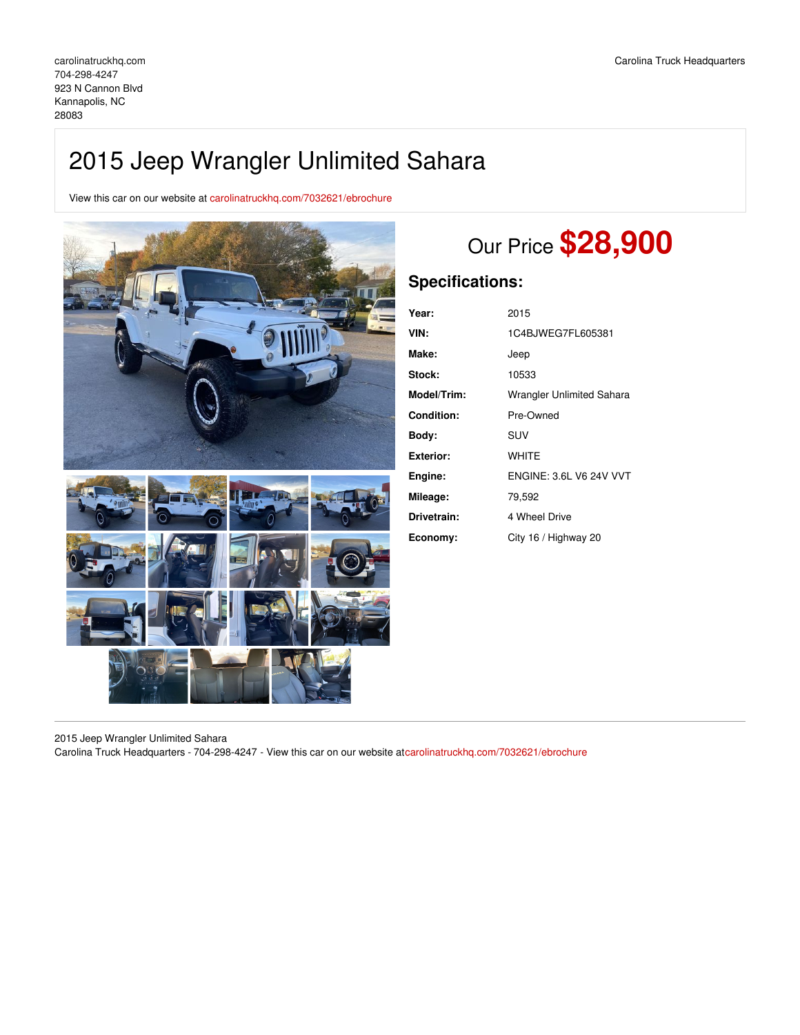# 2015 Jeep Wrangler Unlimited Sahara

View this car on our website at [carolinatruckhq.com/7032621/ebrochure](https://carolinatruckhq.com/vehicle/7032621/2015-jeep-wrangler-unlimited-sahara-kannapolis-nc-28083/7032621/ebrochure)



# Our Price **\$28,900**

# **Specifications:**

| Year:             | 2015                           |
|-------------------|--------------------------------|
| VIN:              | 1C4BJWEG7FL605381              |
| Make:             | Jeep                           |
| Stock:            | 10533                          |
| Model/Trim:       | Wrangler Unlimited Sahara      |
| <b>Condition:</b> | Pre-Owned                      |
| Bodv:             | SUV                            |
| <b>Exterior:</b>  | <b>WHITE</b>                   |
| Engine:           | <b>ENGINE: 3.6L V6 24V VVT</b> |
| Mileage:          | 79,592                         |
| Drivetrain:       | 4 Wheel Drive                  |
| Economy:          | City 16 / Highway 20           |

2015 Jeep Wrangler Unlimited Sahara Carolina Truck Headquarters - 704-298-4247 - View this car on our website at[carolinatruckhq.com/7032621/ebrochure](https://carolinatruckhq.com/vehicle/7032621/2015-jeep-wrangler-unlimited-sahara-kannapolis-nc-28083/7032621/ebrochure)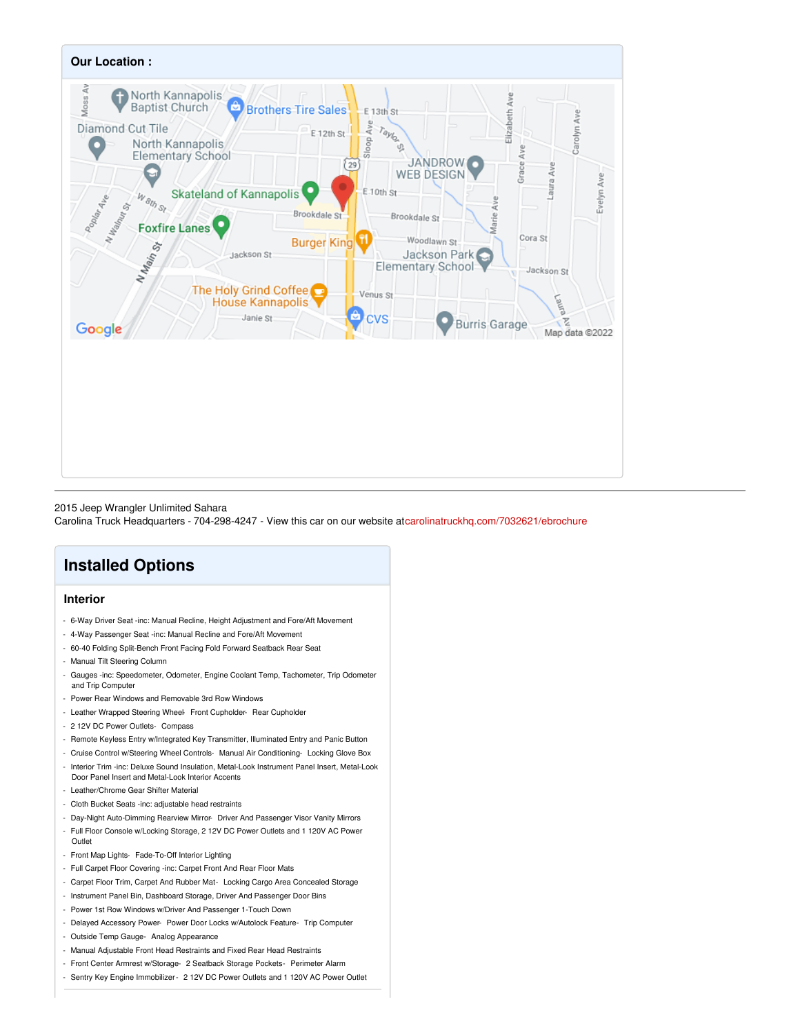

### 2015 Jeep Wrangler Unlimited Sahara

Carolina Truck Headquarters - 704-298-4247 - View this car on our website at[carolinatruckhq.com/7032621/ebrochure](https://carolinatruckhq.com/vehicle/7032621/2015-jeep-wrangler-unlimited-sahara-kannapolis-nc-28083/7032621/ebrochure)

# **Installed Options**

## **Interior**

- 6-Way Driver Seat -inc: Manual Recline, Height Adjustment and Fore/Aft Movement
- 4-Way Passenger Seat -inc: Manual Recline and Fore/Aft Movement
- 60-40 Folding Split-Bench Front Facing Fold Forward Seatback Rear Seat
- Manual Tilt Steering Column
- Gauges -inc: Speedometer, Odometer, Engine Coolant Temp, Tachometer, Trip Odometer and Trip Computer
- Power Rear Windows and Removable 3rd Row Windows
- Leather Wrapped Steering Wheel- Front Cupholder- Rear Cupholder
- 2 12V DC Power Outlets- Compass
- Remote Keyless Entry w/Integrated Key Transmitter, Illuminated Entry and Panic Button
- Cruise Control w/Steering Wheel Controls- Manual Air Conditioning- Locking Glove Box
- Interior Trim -inc: Deluxe Sound Insulation, Metal-Look Instrument Panel Insert, Metal-Look Door Panel Insert and Metal-Look Interior Accents
- Leather/Chrome Gear Shifter Material
- Cloth Bucket Seats -inc: adjustable head restraints
- Day-Night Auto-Dimming Rearview Mirror- Driver And Passenger Visor Vanity Mirrors
- Full Floor Console w/Locking Storage, 2 12V DC Power Outlets and 1 120V AC Power Outlet
- Front Map Lights- Fade-To-Off Interior Lighting
- Full Carpet Floor Covering -inc: Carpet Front And Rear Floor Mats
- Carpet Floor Trim, Carpet And Rubber Mat- Locking Cargo Area Concealed Storage
- Instrument Panel Bin, Dashboard Storage, Driver And Passenger Door Bins
- Power 1st Row Windows w/Driver And Passenger 1-Touch Down
- Delayed Accessory Power- Power Door Locks w/Autolock Feature- Trip Computer
- Outside Temp Gauge- Analog Appearance
- Manual Adjustable Front Head Restraints and Fixed Rear Head Restraints
- Front Center Armrest w/Storage- 2 Seatback Storage Pockets- Perimeter Alarm
- Sentry Key Engine Immobilizer- 2 12V DC Power Outlets and 1 120V AC Power Outlet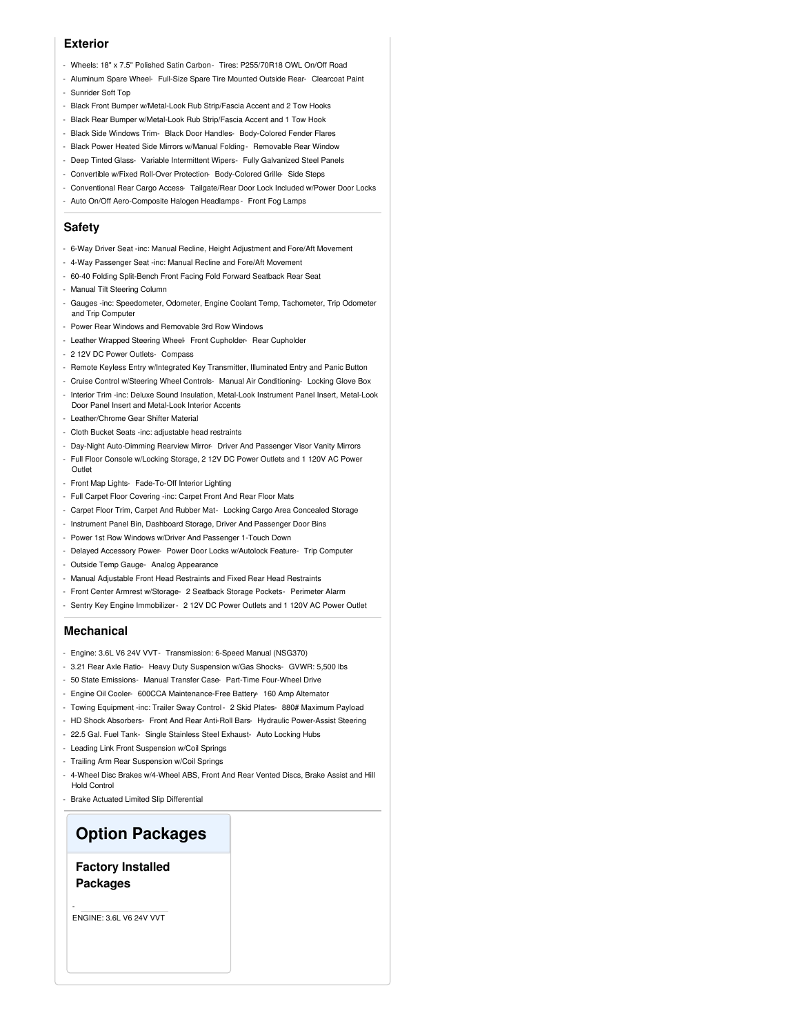### **Exterior**

- Wheels: 18" x 7.5" Polished Satin Carbon- Tires: P255/70R18 OWL On/Off Road
- Aluminum Spare Wheel- Full-Size Spare Tire Mounted Outside Rear- Clearcoat Paint - Sunrider Soft Top
- 
- Black Front Bumper w/Metal-Look Rub Strip/Fascia Accent and 2 Tow Hooks
- Black Rear Bumper w/Metal-Look Rub Strip/Fascia Accent and 1 Tow Hook
- Black Side Windows Trim- Black Door Handles- Body-Colored Fender Flares
- Black Power Heated Side Mirrors w/Manual Folding- Removable Rear Window
- Deep Tinted Glass- Variable Intermittent Wipers- Fully Galvanized Steel Panels
- Convertible w/Fixed Roll-Over Protection- Body-Colored Grille- Side Steps
- Conventional Rear Cargo Access- Tailgate/Rear Door Lock Included w/Power Door Locks
- Auto On/Off Aero-Composite Halogen Headlamps Front Fog Lamps

## **Safety**

- 6-Way Driver Seat -inc: Manual Recline, Height Adjustment and Fore/Aft Movement
- 4-Way Passenger Seat -inc: Manual Recline and Fore/Aft Movement
- 60-40 Folding Split-Bench Front Facing Fold Forward Seatback Rear Seat
- Manual Tilt Steering Column
- Gauges -inc: Speedometer, Odometer, Engine Coolant Temp, Tachometer, Trip Odometer and Trip Computer
- Power Rear Windows and Removable 3rd Row Windows
- Leather Wrapped Steering Wheel- Front Cupholder- Rear Cupholder
- 2 12V DC Power Outlets- Compass
- Remote Keyless Entry w/Integrated Key Transmitter, Illuminated Entry and Panic Button
- Cruise Control w/Steering Wheel Controls- Manual Air Conditioning- Locking Glove Box
- Interior Trim -inc: Deluxe Sound Insulation, Metal-Look Instrument Panel Insert, Metal-Look Door Panel Insert and Metal-Look Interior Accents
- Leather/Chrome Gear Shifter Material
- Cloth Bucket Seats -inc: adjustable head restraints
- Day-Night Auto-Dimming Rearview Mirror- Driver And Passenger Visor Vanity Mirrors
- Full Floor Console w/Locking Storage, 2 12V DC Power Outlets and 1 120V AC Power **Outlet**
- Front Map Lights- Fade-To-Off Interior Lighting
- Full Carpet Floor Covering -inc: Carpet Front And Rear Floor Mats
- Carpet Floor Trim, Carpet And Rubber Mat- Locking Cargo Area Concealed Storage
- Instrument Panel Bin, Dashboard Storage, Driver And Passenger Door Bins
- Power 1st Row Windows w/Driver And Passenger 1-Touch Down
- Delayed Accessory Power- Power Door Locks w/Autolock Feature- Trip Computer
- Outside Temp Gauge- Analog Appearance
- Manual Adjustable Front Head Restraints and Fixed Rear Head Restraints
- Front Center Armrest w/Storage- 2 Seatback Storage Pockets- Perimeter Alarm
- Sentry Key Engine Immobilizer- 2 12V DC Power Outlets and 1 120V AC Power Outlet

#### **Mechanical**

- Engine: 3.6L V6 24V VVT- Transmission: 6-Speed Manual (NSG370)
- 3.21 Rear Axle Ratio- Heavy Duty Suspension w/Gas Shocks- GVWR: 5,500 lbs
- 50 State Emissions- Manual Transfer Case- Part-Time Four-Wheel Drive
- Engine Oil Cooler- 600CCA Maintenance-Free Battery- 160 Amp Alternator
- Towing Equipment -inc: Trailer Sway Control- 2 Skid Plates- 880# Maximum Payload
- HD Shock Absorbers- Front And Rear Anti-Roll Bars- Hydraulic Power-Assist Steering
- 22.5 Gal. Fuel Tank- Single Stainless Steel Exhaust- Auto Locking Hubs
- Leading Link Front Suspension w/Coil Springs
- Trailing Arm Rear Suspension w/Coil Springs
- 4-Wheel Disc Brakes w/4-Wheel ABS, Front And Rear Vented Discs, Brake Assist and Hill Hold Control
- Brake Actuated Limited Slip Differential

# **Option Packages**

**Factory Installed Packages**

ENGINE: 3.6L V6 24V VVT

-